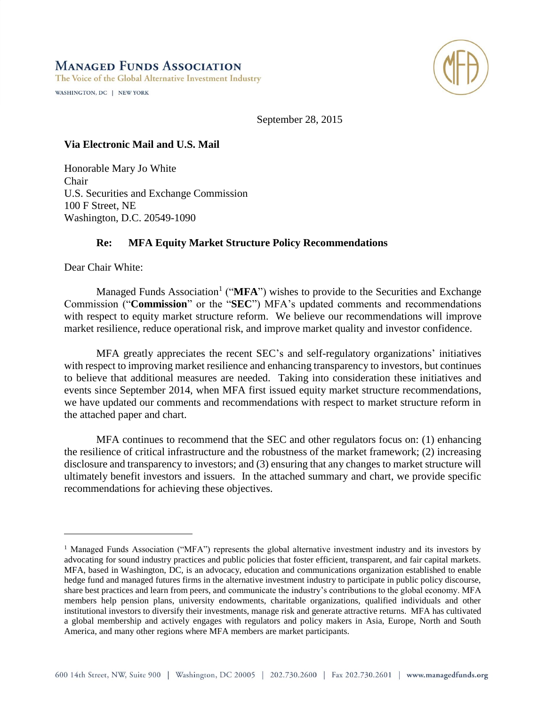### **MANAGED FUNDS ASSOCIATION**

The Voice of the Global Alternative Investment Industry

WASHINGTON, DC | NEW YORK



September 28, 2015

#### **Via Electronic Mail and U.S. Mail**

Honorable Mary Jo White Chair U.S. Securities and Exchange Commission 100 F Street, NE Washington, D.C. 20549-1090

#### **Re: MFA Equity Market Structure Policy Recommendations**

Dear Chair White:

 $\overline{a}$ 

Managed Funds Association<sup>1</sup> ("MFA") wishes to provide to the Securities and Exchange Commission ("**Commission**" or the "**SEC**") MFA's updated comments and recommendations with respect to equity market structure reform. We believe our recommendations will improve market resilience, reduce operational risk, and improve market quality and investor confidence.

MFA greatly appreciates the recent SEC's and self-regulatory organizations' initiatives with respect to improving market resilience and enhancing transparency to investors, but continues to believe that additional measures are needed. Taking into consideration these initiatives and events since September 2014, when MFA first issued equity market structure recommendations, we have updated our comments and recommendations with respect to market structure reform in the attached paper and chart.

MFA continues to recommend that the SEC and other regulators focus on: (1) enhancing the resilience of critical infrastructure and the robustness of the market framework; (2) increasing disclosure and transparency to investors; and (3) ensuring that any changes to market structure will ultimately benefit investors and issuers. In the attached summary and chart, we provide specific recommendations for achieving these objectives.

<sup>&</sup>lt;sup>1</sup> Managed Funds Association ("MFA") represents the global alternative investment industry and its investors by advocating for sound industry practices and public policies that foster efficient, transparent, and fair capital markets. MFA, based in Washington, DC, is an advocacy, education and communications organization established to enable hedge fund and managed futures firms in the alternative investment industry to participate in public policy discourse, share best practices and learn from peers, and communicate the industry's contributions to the global economy. MFA members help pension plans, university endowments, charitable organizations, qualified individuals and other institutional investors to diversify their investments, manage risk and generate attractive returns. MFA has cultivated a global membership and actively engages with regulators and policy makers in Asia, Europe, North and South America, and many other regions where MFA members are market participants.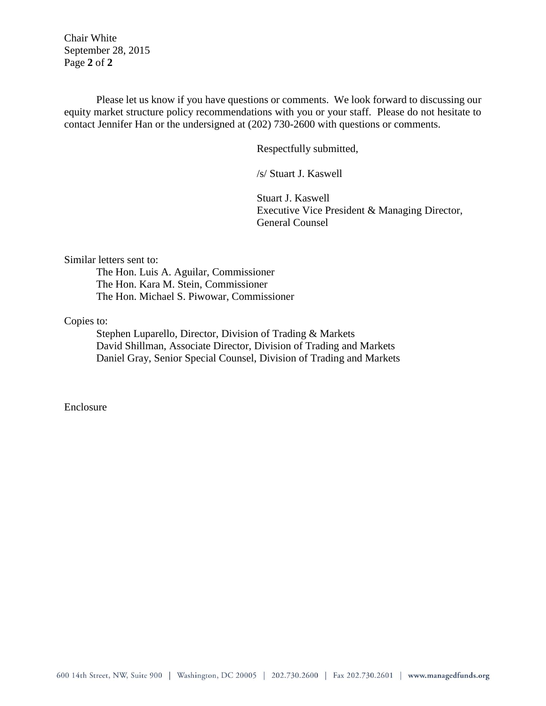Chair White September 28, 2015 Page **2** of **2**

Please let us know if you have questions or comments. We look forward to discussing our equity market structure policy recommendations with you or your staff. Please do not hesitate to contact Jennifer Han or the undersigned at (202) 730-2600 with questions or comments.

Respectfully submitted,

/s/ Stuart J. Kaswell

Stuart J. Kaswell Executive Vice President & Managing Director, General Counsel

Similar letters sent to:

The Hon. Luis A. Aguilar, Commissioner The Hon. Kara M. Stein, Commissioner The Hon. Michael S. Piwowar, Commissioner

Copies to:

Stephen Luparello, Director, Division of Trading & Markets David Shillman, Associate Director, Division of Trading and Markets Daniel Gray, Senior Special Counsel, Division of Trading and Markets

Enclosure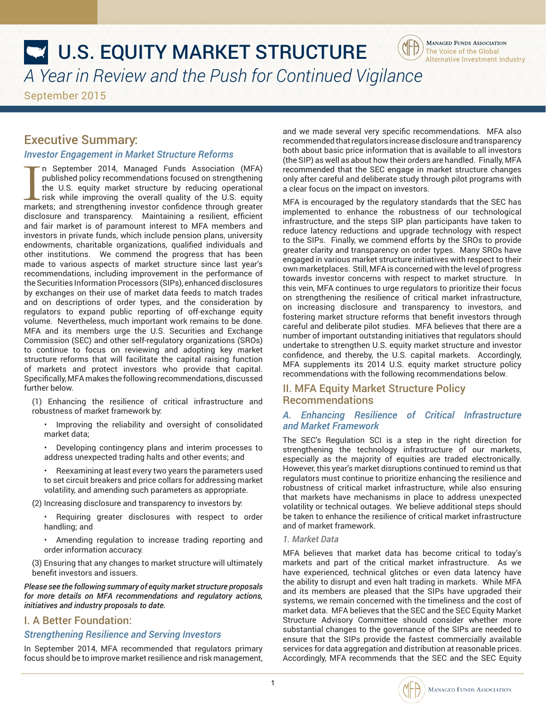# **W.S. EQUITY MARKET STRUCTURE** *A Year in Review and the Push for Continued Vigilance*

September 2015

### Executive Summary:

#### *Investor Engagement in Market Structure Reforms*

In September 2014, Managed Funds Association (MFA)<br>published policy recommendations focused on strengthening<br>the U.S. equity market structure by reducing operational<br>risk while improving the overall quality of the U.S. equ n September 2014, Managed Funds Association (MFA) published policy recommendations focused on strengthening the U.S. equity market structure by reducing operational risk while improving the overall quality of the U.S. equity disclosure and transparency. Maintaining a resilient, efficient and fair market is of paramount interest to MFA members and investors in private funds, which include pension plans, university endowments, charitable organizations, qualified individuals and other institutions. We commend the progress that has been made to various aspects of market structure since last year's recommendations, including improvement in the performance of the Securities Information Processors (SIPs), enhanced disclosures by exchanges on their use of market data feeds to match trades and on descriptions of order types, and the consideration by regulators to expand public reporting of off-exchange equity volume. Nevertheless, much important work remains to be done. MFA and its members urge the U.S. Securities and Exchange Commission (SEC) and other self-regulatory organizations (SROs) to continue to focus on reviewing and adopting key market structure reforms that will facilitate the capital raising function of markets and protect investors who provide that capital. Specifically, MFA makes the following recommendations, discussed further below.

(1) Enhancing the resilience of critical infrastructure and robustness of market framework by:

• Improving the reliability and oversight of consolidated market data;

• Developing contingency plans and interim processes to address unexpected trading halts and other events; and

• Reexamining at least every two years the parameters used to set circuit breakers and price collars for addressing market volatility, and amending such parameters as appropriate.

(2) Increasing disclosure and transparency to investors by:

• Requiring greater disclosures with respect to order handling; and

• Amending regulation to increase trading reporting and order information accuracy.

(3) Ensuring that any changes to market structure will ultimately benefit investors and issuers.

*Please see the following summary of equity market structure proposals for more details on MFA recommendations and regulatory actions, initiatives and industry proposals to date.*

### I. A Better Foundation:

### *Strengthening Resilience and Serving Investors*

In September 2014, MFA recommended that regulators primary focus should be to improve market resilience and risk management,

and we made several very specific recommendations. MFA also recommended that regulators increase disclosure and transparency both about basic price information that is available to all investors (the SIP) as well as about how their orders are handled. Finally, MFA recommended that the SEC engage in market structure changes only after careful and deliberate study through pilot programs with a clear focus on the impact on investors.

The Voice of the Global Alternative Investment Industry

**MANAGED FUNDS ASSOCIATION** 

MFA is encouraged by the regulatory standards that the SEC has implemented to enhance the robustness of our technological infrastructure, and the steps SIP plan participants have taken to reduce latency reductions and upgrade technology with respect to the SIPs. Finally, we commend efforts by the SROs to provide greater clarity and transparency on order types. Many SROs have engaged in various market structure initiatives with respect to their own marketplaces. Still, MFA is concerned with the level of progress towards investor concerns with respect to market structure. In this vein, MFA continues to urge regulators to prioritize their focus on strengthening the resilience of critical market infrastructure, on increasing disclosure and transparency to investors, and fostering market structure reforms that benefit investors through careful and deliberate pilot studies. MFA believes that there are a number of important outstanding initiatives that regulators should undertake to strengthen U.S. equity market structure and investor confidence, and thereby, the U.S. capital markets. Accordingly, MFA supplements its 2014 U.S. equity market structure policy recommendations with the following recommendations below.

#### II. MFA Equity Market Structure Policy Recommendations

#### *A. Enhancing Resilience of Critical Infrastructure and Market Framework*

The SEC's Regulation SCI is a step in the right direction for strengthening the technology infrastructure of our markets, especially as the majority of equities are traded electronically. However, this year's market disruptions continued to remind us that regulators must continue to prioritize enhancing the resilience and robustness of critical market infrastructure, while also ensuring that markets have mechanisms in place to address unexpected volatility or technical outages. We believe additional steps should be taken to enhance the resilience of critical market infrastructure and of market framework.

#### *1. Market Data*

MFA believes that market data has become critical to today's markets and part of the critical market infrastructure. As we have experienced, technical glitches or even data latency have the ability to disrupt and even halt trading in markets. While MFA and its members are pleased that the SIPs have upgraded their systems, we remain concerned with the timeliness and the cost of market data. MFA believes that the SEC and the SEC Equity Market Structure Advisory Committee should consider whether more substantial changes to the governance of the SIPs are needed to ensure that the SIPs provide the fastest commercially available services for data aggregation and distribution at reasonable prices. Accordingly, MFA recommends that the SEC and the SEC Equity



1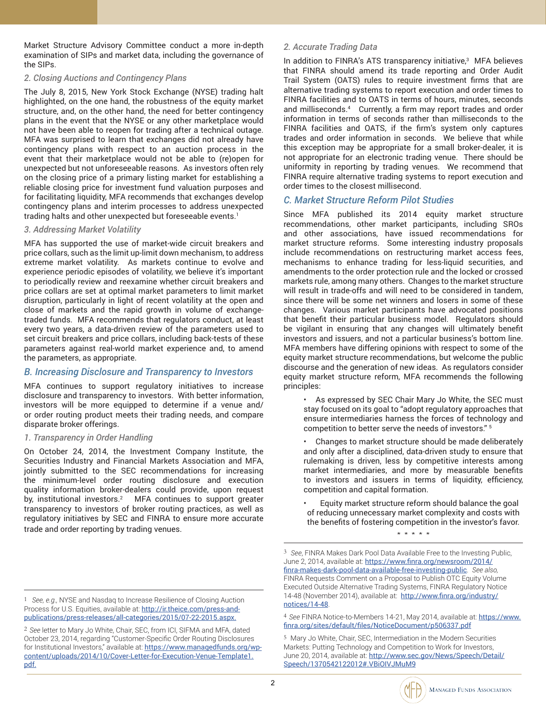Market Structure Advisory Committee conduct a more in-depth examination of SIPs and market data, including the governance of the SIPs.

#### *2. Closing Auctions and Contingency Plans*

The July 8, 2015, New York Stock Exchange (NYSE) trading halt highlighted, on the one hand, the robustness of the equity market structure, and, on the other hand, the need for better contingency plans in the event that the NYSE or any other marketplace would not have been able to reopen for trading after a technical outage. MFA was surprised to learn that exchanges did not already have contingency plans with respect to an auction process in the event that their marketplace would not be able to (re)open for unexpected but not unforeseeable reasons. As investors often rely on the closing price of a primary listing market for establishing a reliable closing price for investment fund valuation purposes and for facilitating liquidity, MFA recommends that exchanges develop contingency plans and interim processes to address unexpected trading halts and other unexpected but foreseeable events.<sup>1</sup>

#### *3. Addressing Market Volatility*

MFA has supported the use of market-wide circuit breakers and price collars, such as the limit up-limit down mechanism, to address extreme market volatility. As markets continue to evolve and experience periodic episodes of volatility, we believe it's important to periodically review and reexamine whether circuit breakers and price collars are set at optimal market parameters to limit market disruption, particularly in light of recent volatility at the open and close of markets and the rapid growth in volume of exchangetraded funds. MFA recommends that regulators conduct, at least every two years, a data-driven review of the parameters used to set circuit breakers and price collars, including back-tests of these parameters against real-world market experience and, to amend the parameters, as appropriate.

#### *B. Increasing Disclosure and Transparency to Investors*

MFA continues to support regulatory initiatives to increase disclosure and transparency to investors. With better information, investors will be more equipped to determine if a venue and/ or order routing product meets their trading needs, and compare disparate broker offerings.

#### *1. Transparency in Order Handling*

On October 24, 2014, the Investment Company Institute, the Securities Industry and Financial Markets Association and MFA, jointly submitted to the SEC recommendations for increasing the minimum-level order routing disclosure and execution quality information broker-dealers could provide, upon request by, institutional investors. $^2$  MFA continues to support greater transparency to investors of broker routing practices, as well as regulatory initiatives by SEC and FINRA to ensure more accurate trade and order reporting by trading venues.

### *2. Accurate Trading Data*

In addition to FINRA's ATS transparency initiative,<sup>3</sup> MFA believes that FINRA should amend its trade reporting and Order Audit Trail System (OATS) rules to require investment firms that are alternative trading systems to report execution and order times to FINRA facilities and to OATS in terms of hours, minutes, seconds and milliseconds.4 Currently, a firm may report trades and order information in terms of seconds rather than milliseconds to the FINRA facilities and OATS, if the firm's system only captures trades and order information in seconds. We believe that while this exception may be appropriate for a small broker-dealer, it is not appropriate for an electronic trading venue. There should be uniformity in reporting by trading venues. We recommend that FINRA require alternative trading systems to report execution and order times to the closest millisecond.

### *C. Market Structure Reform Pilot Studies*

Since MFA published its 2014 equity market structure recommendations, other market participants, including SROs and other associations, have issued recommendations for market structure reforms. Some interesting industry proposals include recommendations on restructuring market access fees, mechanisms to enhance trading for less-liquid securities, and amendments to the order protection rule and the locked or crossed markets rule, among many others. Changes to the market structure will result in trade-offs and will need to be considered in tandem, since there will be some net winners and losers in some of these changes. Various market participants have advocated positions that benefit their particular business model. Regulators should be vigilant in ensuring that any changes will ultimately benefit investors and issuers, and not a particular business's bottom line. MFA members have differing opinions with respect to some of the equity market structure recommendations, but welcome the public discourse and the generation of new ideas. As regulators consider equity market structure reform, MFA recommends the following principles:

As expressed by SEC Chair Mary Jo White, the SEC must stay focused on its goal to "adopt regulatory approaches that ensure intermediaries harness the forces of technology and competition to better serve the needs of investors." 5

• Changes to market structure should be made deliberately and only after a disciplined, data-driven study to ensure that rulemaking is driven, less by competitive interests among market intermediaries, and more by measurable benefits to investors and issuers in terms of liquidity, efficiency, competition and capital formation.

• Equity market structure reform should balance the goal of reducing unnecessary market complexity and costs with the benefits of fostering competition in the investor's favor.

\*\*\*\*\*

<sup>1</sup> *See, e.g.,* NYSE and Nasdaq to Increase Resilience of Closing Auction Process for U.S. Equities, available at: [http://ir.theice.com/press-and](http://ir.theice.com/press-and-publications/press-releases/all-categories/2015/07-22-2015.aspx.)[publications/press-releases/all-categories/2015/07-22-2015.aspx](http://ir.theice.com/press-and-publications/press-releases/all-categories/2015/07-22-2015.aspx.).

<sup>2</sup> *See* letter to Mary Jo White, Chair, SEC, from ICI, SIFMA and MFA, dated October 23, 2014, regarding "Customer-Specific Order Routing Disclosures for Institutional Investors," available at: [https://www.managedfunds.org/wp](https://www.managedfunds.org/wp-content/uploads/2014/10/Cover-Letter-for-Execution-Venue-Template1.p)[content/uploads/2014/10/Cover-Letter-for-Execution-Venue-Template1.](https://www.managedfunds.org/wp-content/uploads/2014/10/Cover-Letter-for-Execution-Venue-Template1.p) [pdf](https://www.managedfunds.org/wp-content/uploads/2014/10/Cover-Letter-for-Execution-Venue-Template1.p).

<sup>3</sup> *See*, FINRA Makes Dark Pool Data Available Free to the Investing Public, June 2, 2014, available at: [https://www.finra.org/newsroom/2014/](https://www.finra.org/newsroom/2014/finra-makes-dark-pool-data-available-free-investing-public) [finra-makes-dark-pool-data-available-free-investing-public](https://www.finra.org/newsroom/2014/finra-makes-dark-pool-data-available-free-investing-public). *See also,* FINRA Requests Comment on a Proposal to Publish OTC Equity Volume Executed Outside Alternative Trading Systems, FINRA Regulatory Notice 14-48 (November 2014), available at: [http://www.finra.org/industry/](http://www.finra.org/industry/notices/14-48) [notices/14-48](http://www.finra.org/industry/notices/14-48).

<sup>4</sup> *See* FINRA Notice-to-Members 14-21, May 2014, available at: [https://www.](https://www.finra.org/sites/default/files/NoticeDocument/p506337.pdf) [finra.org/sites/default/files/NoticeDocument/p506337.pdf](https://www.finra.org/sites/default/files/NoticeDocument/p506337.pdf)

<sup>5</sup> Mary Jo White, Chair, SEC, Intermediation in the Modern Securities Markets: Putting Technology and Competition to Work for Investors, June 20, 2014, available at: [http://www.sec.gov/News/Speech/Detail/](http://www.sec.gov/News/Speech/Detail/Speech/1370542122012#.VBiOIVJMuM9) [Speech/1370542122012#.VBiOIVJMuM9](http://www.sec.gov/News/Speech/Detail/Speech/1370542122012#.VBiOIVJMuM9)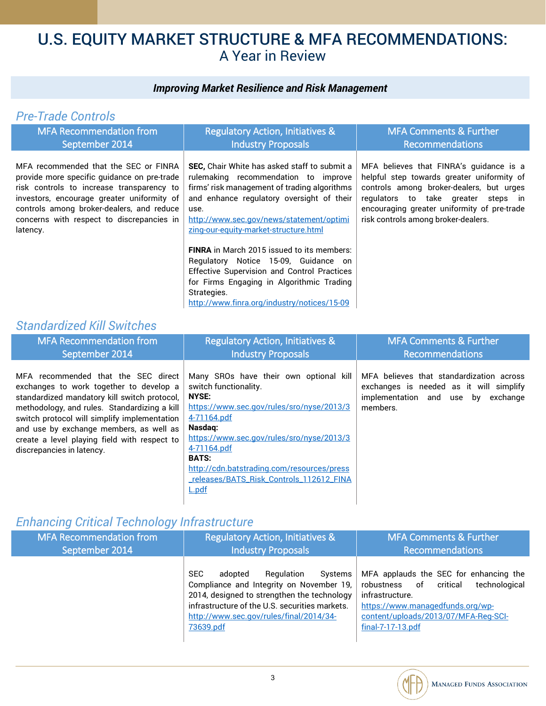#### *Improving Market Resilience and Risk Management*

#### *Pre-Trade Controls* MFA Recommendation from September 2014 Regulatory Action, Initiatives & Industry Proposals MFA Comments & Further Recommendations MFA recommended that the SEC or FINRA provide more specific guidance on pre-trade risk controls to increase transparency to investors, encourage greater uniformity of controls among broker-dealers, and reduce concerns with respect to discrepancies in latency. **SEC,** Chair White has asked staff to submit a rulemaking recommendation to improve firms' risk management of trading algorithms and enhance regulatory oversight of their use. [http://www.sec.gov/news/statement/optimi](http://www.sec.gov/news/statement/optimizing-our-equity-market-structure.html) [zing-our-equity-market-structure.html](http://www.sec.gov/news/statement/optimizing-our-equity-market-structure.html) **FINRA** in March 2015 issued to its members: Regulatory Notice 15-09, Guidance on Effective Supervision and Control Practices for Firms Engaging in Algorithmic Trading Strategies. <http://www.finra.org/industry/notices/15-09> MFA believes that FINRA's guidance is a helpful step towards greater uniformity of controls among broker-dealers, but urges regulators to take greater steps in encouraging greater uniformity of pre-trade risk controls among broker-dealers.

### *Standardized Kill Switches*

| <b>MFA Recommendation from</b>                                                                                                                                                                                                                                                                                                                         | <b>Regulatory Action, Initiatives &amp;</b>                                                                                                                                                                                                                                                                                          | <b>MFA Comments &amp; Further</b>                                                                                                        |
|--------------------------------------------------------------------------------------------------------------------------------------------------------------------------------------------------------------------------------------------------------------------------------------------------------------------------------------------------------|--------------------------------------------------------------------------------------------------------------------------------------------------------------------------------------------------------------------------------------------------------------------------------------------------------------------------------------|------------------------------------------------------------------------------------------------------------------------------------------|
| September 2014                                                                                                                                                                                                                                                                                                                                         | <b>Industry Proposals</b>                                                                                                                                                                                                                                                                                                            | Recommendations                                                                                                                          |
| MFA recommended that the SEC direct<br>exchanges to work together to develop a<br>standardized mandatory kill switch protocol,<br>methodology, and rules. Standardizing a kill<br>switch protocol will simplify implementation<br>and use by exchange members, as well as<br>create a level playing field with respect to<br>discrepancies in latency. | Many SROs have their own optional kill<br>switch functionality.<br><b>NYSE:</b><br>https://www.sec.gov/rules/sro/nyse/2013/3<br>4-71164.pdf<br>Nasdag:<br>https://www.sec.gov/rules/sro/nyse/2013/3<br>4-71164.pdf<br><b>BATS:</b><br>http://cdn.batstrading.com/resources/press<br>releases/BATS_Risk_Controls_112612_FINA<br>L.pdf | MFA believes that standardization across<br>exchanges is needed as it will simplify<br>implementation and use by<br>exchange<br>members. |

### *Enhancing Critical Technology Infrastructure*

| <b>MFA Recommendation from</b> | <b>Regulatory Action, Initiatives &amp;</b>                                                                                                                                                                                                         | <b>MFA Comments &amp; Further</b>                                                                                                                                                                          |
|--------------------------------|-----------------------------------------------------------------------------------------------------------------------------------------------------------------------------------------------------------------------------------------------------|------------------------------------------------------------------------------------------------------------------------------------------------------------------------------------------------------------|
| September 2014                 | <b>Industry Proposals</b>                                                                                                                                                                                                                           | Recommendations                                                                                                                                                                                            |
|                                | <b>SEC</b><br>Regulation<br>Systems<br>adopted<br>Compliance and Integrity on November 19,<br>2014, designed to strengthen the technology<br>infrastructure of the U.S. securities markets.<br>http://www.sec.gov/rules/final/2014/34-<br>73639.pdf | MFA applauds the SEC for enhancing the<br>critical<br>technological<br>robustness of<br>infrastructure.<br>https://www.managedfunds.org/wp-<br>content/uploads/2013/07/MFA-Reg-SCI-<br>$final-7-17-13.pdf$ |

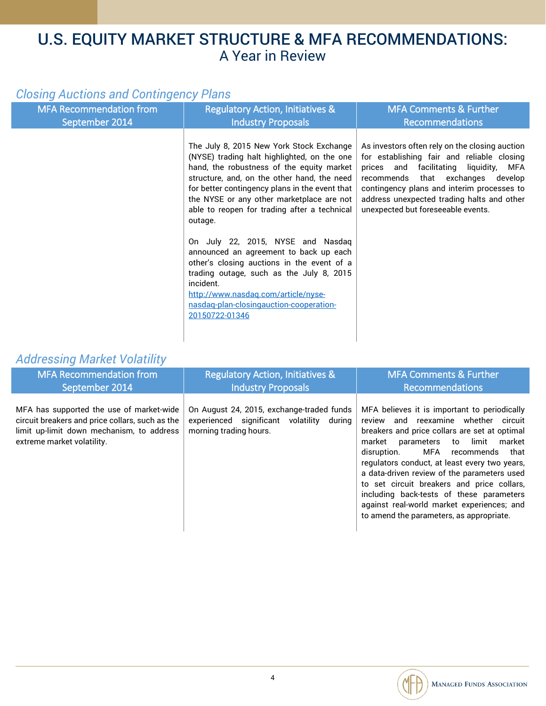### *Closing Auctions and Contingency Plans*

| <b>MFA Recommendation from</b><br>September 2014 | <b>Regulatory Action, Initiatives &amp;</b><br><b>Industry Proposals</b>                                                                                                                                                                                                                                                                                                                                                                                                                                                                                                                                                                | <b>MFA Comments &amp; Further</b><br><b>Recommendations</b>                                                                                                                                                                                                                                                         |
|--------------------------------------------------|-----------------------------------------------------------------------------------------------------------------------------------------------------------------------------------------------------------------------------------------------------------------------------------------------------------------------------------------------------------------------------------------------------------------------------------------------------------------------------------------------------------------------------------------------------------------------------------------------------------------------------------------|---------------------------------------------------------------------------------------------------------------------------------------------------------------------------------------------------------------------------------------------------------------------------------------------------------------------|
|                                                  | The July 8, 2015 New York Stock Exchange<br>(NYSE) trading halt highlighted, on the one<br>hand, the robustness of the equity market<br>structure, and, on the other hand, the need<br>for better contingency plans in the event that<br>the NYSE or any other marketplace are not<br>able to reopen for trading after a technical<br>outage.<br>On July 22, 2015, NYSE and Nasdaq<br>announced an agreement to back up each<br>other's closing auctions in the event of a<br>trading outage, such as the July 8, 2015<br>incident.<br>http://www.nasdaq.com/article/nyse-<br>nasdag-plan-closingauction-cooperation-<br>20150722-01346 | As investors often rely on the closing auction<br>for establishing fair and reliable closing<br>prices and facilitating liquidity,<br>MFA<br>recommends that exchanges<br>develop<br>contingency plans and interim processes to<br>address unexpected trading halts and other<br>unexpected but foreseeable events. |
|                                                  |                                                                                                                                                                                                                                                                                                                                                                                                                                                                                                                                                                                                                                         |                                                                                                                                                                                                                                                                                                                     |

### *Addressing Market Volatility*

| <b>MFA Recommendation from</b><br>September 2014                                                                                                                       | <b>Regulatory Action, Initiatives &amp;</b><br><b>Industry Proposals</b>                                         | <b>MFA Comments &amp; Further</b><br><b>Recommendations</b>                                                                                                                                                                                                                                                                                                                                                                                                                                                   |  |
|------------------------------------------------------------------------------------------------------------------------------------------------------------------------|------------------------------------------------------------------------------------------------------------------|---------------------------------------------------------------------------------------------------------------------------------------------------------------------------------------------------------------------------------------------------------------------------------------------------------------------------------------------------------------------------------------------------------------------------------------------------------------------------------------------------------------|--|
| MFA has supported the use of market-wide<br>circuit breakers and price collars, such as the<br>limit up-limit down mechanism, to address<br>extreme market volatility. | On August 24, 2015, exchange-traded funds<br>experienced significant volatility during<br>morning trading hours. | MFA believes it is important to periodically<br>review and reexamine whether circuit<br>breakers and price collars are set at optimal<br>market<br>to limit<br>market<br>parameters<br>MFA recommends that<br>disruption.<br>regulators conduct, at least every two years,<br>a data-driven review of the parameters used<br>to set circuit breakers and price collars,<br>including back-tests of these parameters<br>against real-world market experiences; and<br>to amend the parameters, as appropriate. |  |

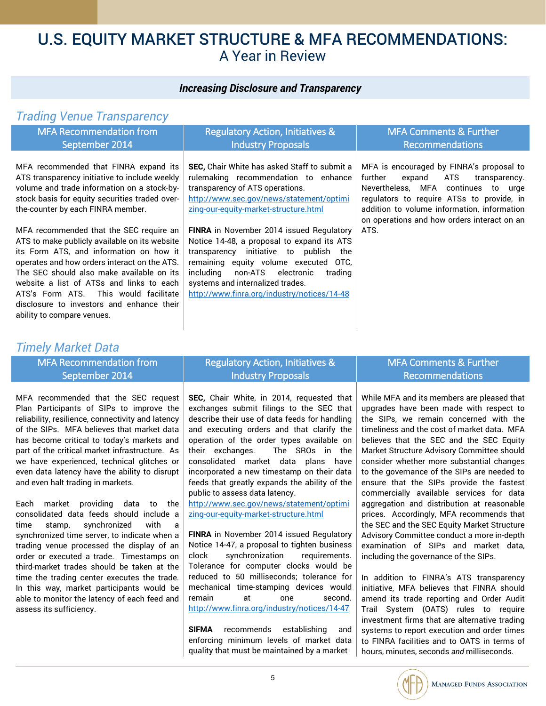#### *Increasing Disclosure and Transparency*

### *Trading Venue Transparency*

| <b>MFA Recommendation from</b><br>September 2014                                                                                                                                                                                                                                                                      | <b>Regulatory Action, Initiatives &amp;</b><br><b>Industry Proposals</b>                                                                                                                                                                                                                                             | <b>MFA Comments &amp; Further</b><br><b>Recommendations</b>                                                                                                                                                                 |
|-----------------------------------------------------------------------------------------------------------------------------------------------------------------------------------------------------------------------------------------------------------------------------------------------------------------------|----------------------------------------------------------------------------------------------------------------------------------------------------------------------------------------------------------------------------------------------------------------------------------------------------------------------|-----------------------------------------------------------------------------------------------------------------------------------------------------------------------------------------------------------------------------|
| MFA recommended that FINRA expand its<br>ATS transparency initiative to include weekly<br>volume and trade information on a stock-by-<br>stock basis for equity securities traded over-<br>the-counter by each FINRA member.                                                                                          | <b>SEC.</b> Chair White has asked Staff to submit a<br>rulemaking recommendation to enhance<br>transparency of ATS operations.<br>http://www.sec.gov/news/statement/optimi<br>zing-our-equity-market-structure.html                                                                                                  | MFA is encouraged by FINRA's proposal to<br>further<br>expand<br>ATS<br>transparency.<br>Nevertheless, MFA continues<br>to urge<br>regulators to require ATSs to provide, in<br>addition to volume information, information |
| MFA recommended that the SEC require an<br>ATS to make publicly available on its website<br>its Form ATS, and information on how it<br>operates and how orders interact on the ATS.<br>The SEC should also make available on its<br>website a list of ATSs and links to each<br>ATS's Form ATS. This would facilitate | <b>FINRA</b> in November 2014 issued Regulatory<br>Notice 14-48, a proposal to expand its ATS<br>transparency initiative to publish<br>the<br>remaining equity volume executed OTC,<br>includina<br>non-ATS electronic<br>trading<br>systems and internalized trades.<br>http://www.finra.org/industry/notices/14-48 | on operations and how orders interact on an<br>ATS.                                                                                                                                                                         |
| disclosure to investors and enhance their<br>ability to compare venues.                                                                                                                                                                                                                                               |                                                                                                                                                                                                                                                                                                                      |                                                                                                                                                                                                                             |

### *Timely Market Data*

| <b>MFA Recommendation from</b>                                                                                                                                                                                                                                                                                                                                                                                                                                                                                                                                                                                                                                                                                                                 | <b>Regulatory Action, Initiatives &amp;</b>                                                                                                                                                                                                                                                                                                                                                                                                                                                                                                                                                                                                                                                                             | <b>MFA Comments &amp; Further</b>                                                                                                                                                                                                                                                                                                                                                                                                                                                                                                                                                                                                                                                                                                    |
|------------------------------------------------------------------------------------------------------------------------------------------------------------------------------------------------------------------------------------------------------------------------------------------------------------------------------------------------------------------------------------------------------------------------------------------------------------------------------------------------------------------------------------------------------------------------------------------------------------------------------------------------------------------------------------------------------------------------------------------------|-------------------------------------------------------------------------------------------------------------------------------------------------------------------------------------------------------------------------------------------------------------------------------------------------------------------------------------------------------------------------------------------------------------------------------------------------------------------------------------------------------------------------------------------------------------------------------------------------------------------------------------------------------------------------------------------------------------------------|--------------------------------------------------------------------------------------------------------------------------------------------------------------------------------------------------------------------------------------------------------------------------------------------------------------------------------------------------------------------------------------------------------------------------------------------------------------------------------------------------------------------------------------------------------------------------------------------------------------------------------------------------------------------------------------------------------------------------------------|
| September 2014                                                                                                                                                                                                                                                                                                                                                                                                                                                                                                                                                                                                                                                                                                                                 | <b>Industry Proposals</b>                                                                                                                                                                                                                                                                                                                                                                                                                                                                                                                                                                                                                                                                                               | <b>Recommendations</b>                                                                                                                                                                                                                                                                                                                                                                                                                                                                                                                                                                                                                                                                                                               |
| MFA recommended that the SEC request<br>Plan Participants of SIPs to improve the<br>reliability, resilience, connectivity and latency<br>of the SIPs. MFA believes that market data<br>has become critical to today's markets and<br>part of the critical market infrastructure. As<br>we have experienced, technical glitches or<br>even data latency have the ability to disrupt<br>and even halt trading in markets.<br>market providing data to the<br>Each<br>consolidated data feeds should include a<br>synchronized<br>with a<br>stamp,<br>time<br>synchronized time server, to indicate when a<br>trading venue processed the display of an<br>order or executed a trade. Timestamps on<br>third-market trades should be taken at the | SEC, Chair White, in 2014, requested that<br>exchanges submit filings to the SEC that<br>describe their use of data feeds for handling<br>and executing orders and that clarify the<br>operation of the order types available on<br>their exchanges.<br>The SROs in the<br>consolidated market data plans have<br>incorporated a new timestamp on their data<br>feeds that greatly expands the ability of the<br>public to assess data latency.<br>http://www.sec.gov/news/statement/optimi<br>zing-our-equity-market-structure.html<br>FINRA in November 2014 issued Regulatory<br>Notice 14-47, a proposal to tighten business<br>synchronization<br>clock<br>requirements.<br>Tolerance for computer clocks would be | While MFA and its members are pleased that<br>upgrades have been made with respect to<br>the SIPs, we remain concerned with the<br>timeliness and the cost of market data. MFA<br>believes that the SEC and the SEC Equity<br>Market Structure Advisory Committee should<br>consider whether more substantial changes<br>to the governance of the SIPs are needed to<br>ensure that the SIPs provide the fastest<br>commercially available services for data<br>aggregation and distribution at reasonable<br>prices. Accordingly, MFA recommends that<br>the SEC and the SEC Equity Market Structure<br>Advisory Committee conduct a more in-depth<br>examination of SIPs and market data,<br>including the governance of the SIPs. |
| time the trading center executes the trade.                                                                                                                                                                                                                                                                                                                                                                                                                                                                                                                                                                                                                                                                                                    | reduced to 50 milliseconds; tolerance for                                                                                                                                                                                                                                                                                                                                                                                                                                                                                                                                                                                                                                                                               | In addition to FINRA's ATS transparency                                                                                                                                                                                                                                                                                                                                                                                                                                                                                                                                                                                                                                                                                              |
| In this way, market participants would be                                                                                                                                                                                                                                                                                                                                                                                                                                                                                                                                                                                                                                                                                                      | mechanical time-stamping devices would                                                                                                                                                                                                                                                                                                                                                                                                                                                                                                                                                                                                                                                                                  | initiative, MFA believes that FINRA should                                                                                                                                                                                                                                                                                                                                                                                                                                                                                                                                                                                                                                                                                           |
| able to monitor the latency of each feed and<br>assess its sufficiency.                                                                                                                                                                                                                                                                                                                                                                                                                                                                                                                                                                                                                                                                        | remain<br>at<br>second.<br>one<br>http://www.finra.org/industry/notices/14-47                                                                                                                                                                                                                                                                                                                                                                                                                                                                                                                                                                                                                                           | amend its trade reporting and Order Audit<br>Trail System (OATS) rules to require                                                                                                                                                                                                                                                                                                                                                                                                                                                                                                                                                                                                                                                    |

**SIFMA** recommends establishing and enforcing minimum levels of market data quality that must be maintained by a market

Trail System (OATS) rules to require investment firms that are alternative trading systems to report execution and order times to FINRA facilities and to OATS in terms of hours, minutes, seconds *and* milliseconds.

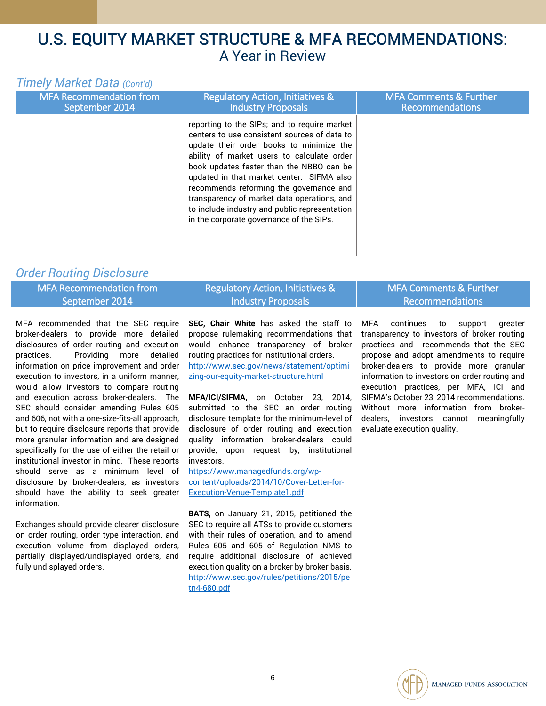### *Timely Market Data (Cont'd)*

| <b>MFA Recommendation from</b><br>September 2014 | <b>Regulatory Action, Initiatives &amp;</b><br><b>Industry Proposals</b>                                                                                                                                                                                                                                                                                                                                                                                               | <b>MFA Comments &amp; Further</b><br><b>Recommendations</b> |
|--------------------------------------------------|------------------------------------------------------------------------------------------------------------------------------------------------------------------------------------------------------------------------------------------------------------------------------------------------------------------------------------------------------------------------------------------------------------------------------------------------------------------------|-------------------------------------------------------------|
|                                                  | reporting to the SIPs; and to require market<br>centers to use consistent sources of data to<br>update their order books to minimize the<br>ability of market users to calculate order<br>book updates faster than the NBBO can be<br>updated in that market center. SIFMA also<br>recommends reforming the governance and<br>transparency of market data operations, and<br>to include industry and public representation<br>in the corporate governance of the SIPs. |                                                             |

### *Order Routing Disclosure*

| <b>MFA Recommendation from</b>                                                                                                                                                     | <b>Regulatory Action, Initiatives &amp;</b>                                                                                           | <b>MFA Comments &amp; Further</b>                                                                                                                                            |
|------------------------------------------------------------------------------------------------------------------------------------------------------------------------------------|---------------------------------------------------------------------------------------------------------------------------------------|------------------------------------------------------------------------------------------------------------------------------------------------------------------------------|
| September 2014                                                                                                                                                                     | <b>Industry Proposals</b>                                                                                                             | <b>Recommendations</b>                                                                                                                                                       |
| MFA recommended that the SEC require<br>broker-dealers to provide more detailed<br>disclosures of order routing and execution                                                      | SEC, Chair White has asked the staff to<br>propose rulemaking recommendations that<br>would enhance transparency of broker            | MFA<br>continues<br>to<br>support<br>greater<br>transparency to investors of broker routing<br>practices and recommends that the SEC                                         |
| Providing more<br>detailed<br>practices.<br>information on price improvement and order<br>execution to investors, in a uniform manner,<br>would allow investors to compare routing | routing practices for institutional orders.<br>http://www.sec.gov/news/statement/optimi<br>zing-our-equity-market-structure.html      | propose and adopt amendments to require<br>broker-dealers to provide more granular<br>information to investors on order routing and<br>execution practices, per MFA, ICI and |
| and execution across broker-dealers. The<br>SEC should consider amending Rules 605<br>and 606, not with a one-size-fits-all approach,                                              | MFA/ICI/SIFMA, on October 23, 2014,<br>submitted to the SEC an order routing<br>disclosure template for the minimum-level of          | SIFMA's October 23, 2014 recommendations.<br>Without more information from broker-<br>dealers, investors cannot<br>meaningfully                                              |
| but to require disclosure reports that provide<br>more granular information and are designed<br>specifically for the use of either the retail or                                   | disclosure of order routing and execution<br>quality information broker-dealers could<br>provide, upon request by, institutional      | evaluate execution quality.                                                                                                                                                  |
| institutional investor in mind. These reports<br>should serve as a minimum level of                                                                                                | investors.<br>https://www.managedfunds.org/wp-                                                                                        |                                                                                                                                                                              |
| disclosure by broker-dealers, as investors                                                                                                                                         | content/uploads/2014/10/Cover-Letter-for-                                                                                             |                                                                                                                                                                              |
| should have the ability to seek greater<br>information.                                                                                                                            | Execution-Venue-Template1.pdf                                                                                                         |                                                                                                                                                                              |
|                                                                                                                                                                                    | BATS, on January 21, 2015, petitioned the                                                                                             |                                                                                                                                                                              |
| Exchanges should provide clearer disclosure                                                                                                                                        | SEC to require all ATSs to provide customers                                                                                          |                                                                                                                                                                              |
| on order routing, order type interaction, and                                                                                                                                      | with their rules of operation, and to amend                                                                                           |                                                                                                                                                                              |
| execution volume from displayed orders,<br>partially displayed/undisplayed orders, and<br>fully undisplayed orders.                                                                | Rules 605 and 605 of Regulation NMS to<br>require additional disclosure of achieved<br>execution quality on a broker by broker basis. |                                                                                                                                                                              |



[http://www.sec.gov/rules/petitions/2015/pe](http://www.sec.gov/rules/petitions/2015/petn4-680.pdf)

[tn4-680.pdf](http://www.sec.gov/rules/petitions/2015/petn4-680.pdf)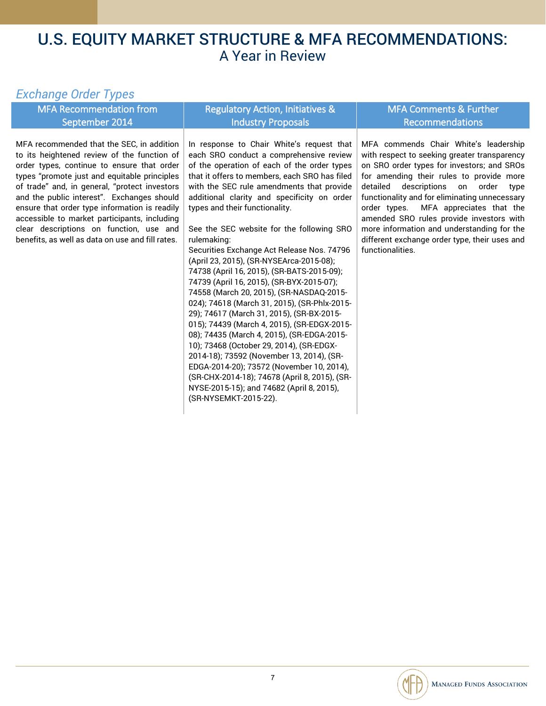### *Exchange Order Types*

|                                                                                                                                                                                                                                                                                                                                                                                                                                                                                       |                                                                                                                                                                                                                                                                                                                                                                                                                                                                                                                                                                                                                                                                                                                                                                                                                                                                                                                                                                                                                                                                        | <b>MFA Comments &amp; Further</b>                                                                                                                                                                                                                                                                                                                                                                                                                                                        |
|---------------------------------------------------------------------------------------------------------------------------------------------------------------------------------------------------------------------------------------------------------------------------------------------------------------------------------------------------------------------------------------------------------------------------------------------------------------------------------------|------------------------------------------------------------------------------------------------------------------------------------------------------------------------------------------------------------------------------------------------------------------------------------------------------------------------------------------------------------------------------------------------------------------------------------------------------------------------------------------------------------------------------------------------------------------------------------------------------------------------------------------------------------------------------------------------------------------------------------------------------------------------------------------------------------------------------------------------------------------------------------------------------------------------------------------------------------------------------------------------------------------------------------------------------------------------|------------------------------------------------------------------------------------------------------------------------------------------------------------------------------------------------------------------------------------------------------------------------------------------------------------------------------------------------------------------------------------------------------------------------------------------------------------------------------------------|
| <b>MFA Recommendation from</b>                                                                                                                                                                                                                                                                                                                                                                                                                                                        | <b>Regulatory Action, Initiatives &amp;</b>                                                                                                                                                                                                                                                                                                                                                                                                                                                                                                                                                                                                                                                                                                                                                                                                                                                                                                                                                                                                                            |                                                                                                                                                                                                                                                                                                                                                                                                                                                                                          |
| September 2014                                                                                                                                                                                                                                                                                                                                                                                                                                                                        | <b>Industry Proposals</b>                                                                                                                                                                                                                                                                                                                                                                                                                                                                                                                                                                                                                                                                                                                                                                                                                                                                                                                                                                                                                                              | Recommendations                                                                                                                                                                                                                                                                                                                                                                                                                                                                          |
| MFA recommended that the SEC, in addition<br>to its heightened review of the function of<br>order types, continue to ensure that order<br>types "promote just and equitable principles<br>of trade" and, in general, "protect investors<br>and the public interest". Exchanges should<br>ensure that order type information is readily<br>accessible to market participants, including<br>clear descriptions on function, use and<br>benefits, as well as data on use and fill rates. | In response to Chair White's request that<br>each SRO conduct a comprehensive review<br>of the operation of each of the order types<br>that it offers to members, each SRO has filed<br>with the SEC rule amendments that provide<br>additional clarity and specificity on order<br>types and their functionality.<br>See the SEC website for the following SRO<br>rulemaking:<br>Securities Exchange Act Release Nos. 74796<br>(April 23, 2015), (SR-NYSEArca-2015-08);<br>74738 (April 16, 2015), (SR-BATS-2015-09);<br>74739 (April 16, 2015), (SR-BYX-2015-07);<br>74558 (March 20, 2015), (SR-NASDAQ-2015-<br>024); 74618 (March 31, 2015), (SR-Phlx-2015-<br>29); 74617 (March 31, 2015), (SR-BX-2015-<br>015); 74439 (March 4, 2015), (SR-EDGX-2015-<br>08); 74435 (March 4, 2015), (SR-EDGA-2015-<br>10); 73468 (October 29, 2014), (SR-EDGX-<br>2014-18); 73592 (November 13, 2014), (SR-<br>EDGA-2014-20); 73572 (November 10, 2014),<br>(SR-CHX-2014-18); 74678 (April 8, 2015), (SR-<br>NYSE-2015-15); and 74682 (April 8, 2015),<br>(SR-NYSEMKT-2015-22). | MFA commends Chair White's leadership<br>with respect to seeking greater transparency<br>on SRO order types for investors; and SROs<br>for amending their rules to provide more<br>detailed<br>descriptions on order<br>type<br>functionality and for eliminating unnecessary<br>MFA appreciates that the<br>order types.<br>amended SRO rules provide investors with<br>more information and understanding for the<br>different exchange order type, their uses and<br>functionalities. |

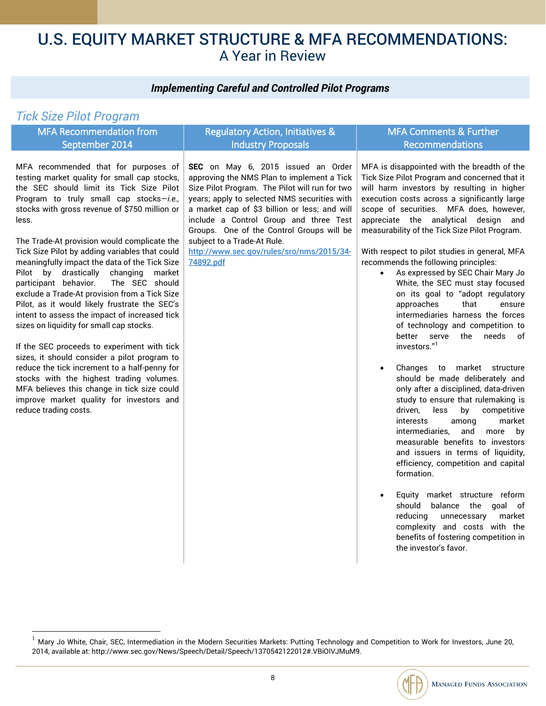### *Implementing Careful and Controlled Pilot Programs*

### *Tick Size Pilot Program*

 $\overline{a}$ 

| <b>MFA Recommendation from</b>                                                                                                                                                                                                                                                                                                                                                                                                                                                                                                                                                                                                                                                                                                                                                                                                                                                                                                                                                                  | <b>Regulatory Action, Initiatives &amp;</b>                                                                                                                                                                                                                                                                                                                                                                         | <b>MFA Comments &amp; Further</b>                                                                                                                                                                                                                                                                                                                                                                                                                                                                                                                                                                                                                                                                                                                                                                                                                                                                                                                                                                                                                                                                                                                                                                                                                                                                                                                 |
|-------------------------------------------------------------------------------------------------------------------------------------------------------------------------------------------------------------------------------------------------------------------------------------------------------------------------------------------------------------------------------------------------------------------------------------------------------------------------------------------------------------------------------------------------------------------------------------------------------------------------------------------------------------------------------------------------------------------------------------------------------------------------------------------------------------------------------------------------------------------------------------------------------------------------------------------------------------------------------------------------|---------------------------------------------------------------------------------------------------------------------------------------------------------------------------------------------------------------------------------------------------------------------------------------------------------------------------------------------------------------------------------------------------------------------|---------------------------------------------------------------------------------------------------------------------------------------------------------------------------------------------------------------------------------------------------------------------------------------------------------------------------------------------------------------------------------------------------------------------------------------------------------------------------------------------------------------------------------------------------------------------------------------------------------------------------------------------------------------------------------------------------------------------------------------------------------------------------------------------------------------------------------------------------------------------------------------------------------------------------------------------------------------------------------------------------------------------------------------------------------------------------------------------------------------------------------------------------------------------------------------------------------------------------------------------------------------------------------------------------------------------------------------------------|
| September 2014                                                                                                                                                                                                                                                                                                                                                                                                                                                                                                                                                                                                                                                                                                                                                                                                                                                                                                                                                                                  | <b>Industry Proposals</b>                                                                                                                                                                                                                                                                                                                                                                                           | Recommendations                                                                                                                                                                                                                                                                                                                                                                                                                                                                                                                                                                                                                                                                                                                                                                                                                                                                                                                                                                                                                                                                                                                                                                                                                                                                                                                                   |
| MFA recommended that for purposes of<br>testing market quality for small cap stocks,<br>the SEC should limit its Tick Size Pilot<br>Program to truly small cap stocks-i.e.,<br>stocks with gross revenue of \$750 million or<br>less.<br>The Trade-At provision would complicate the<br>Tick Size Pilot by adding variables that could<br>meaningfully impact the data of the Tick Size<br>Pilot by drastically<br>changing<br>market<br>participant behavior.<br>The SEC should<br>exclude a Trade-At provision from a Tick Size<br>Pilot, as it would likely frustrate the SEC's<br>intent to assess the impact of increased tick<br>sizes on liquidity for small cap stocks.<br>If the SEC proceeds to experiment with tick<br>sizes, it should consider a pilot program to<br>reduce the tick increment to a half-penny for<br>stocks with the highest trading volumes.<br>MFA believes this change in tick size could<br>improve market quality for investors and<br>reduce trading costs. | SEC on May 6, 2015 issued an Order<br>approving the NMS Plan to implement a Tick<br>Size Pilot Program. The Pilot will run for two<br>years; apply to selected NMS securities with<br>a market cap of \$3 billion or less; and will<br>include a Control Group and three Test<br>Groups. One of the Control Groups will be<br>subject to a Trade-At Rule.<br>http://www.sec.gov/rules/sro/nms/2015/34-<br>74892.pdf | MFA is disappointed with the breadth of the<br>Tick Size Pilot Program and concerned that it<br>will harm investors by resulting in higher<br>execution costs across a significantly large<br>scope of securities. MFA does, however,<br>appreciate the analytical design and<br>measurability of the Tick Size Pilot Program.<br>With respect to pilot studies in general, MFA<br>recommends the following principles:<br>As expressed by SEC Chair Mary Jo<br>$\bullet$<br>White, the SEC must stay focused<br>on its goal to "adopt regulatory<br>that<br>approaches<br>ensure<br>intermediaries harness the forces<br>of technology and competition to<br>better serve the<br>needs<br>of<br>investors."1<br>Changes to market structure<br>$\bullet$<br>should be made deliberately and<br>only after a disciplined, data-driven<br>study to ensure that rulemaking is<br>driven,<br>less<br>competitive<br>by<br>market<br>interests<br>among<br>intermediaries.<br>and<br>more<br>by<br>measurable benefits to investors<br>and issuers in terms of liquidity,<br>efficiency, competition and capital<br>formation.<br>Equity market structure reform<br>$\bullet$<br>should<br>balance the goal of<br>market<br>reducing<br>unnecessary<br>complexity and costs with the<br>benefits of fostering competition in<br>the investor's favor. |

<span id="page-9-0"></span> $^{-1}$  Mary Jo White, Chair, SEC, Intermediation in the Modern Securities Markets: Putting Technology and Competition to Work for Investors, June 20, 2014, available at: http://www.sec.gov/News/Speech/Detail/Speech/1370542122012#.VBiOIVJMuM9.